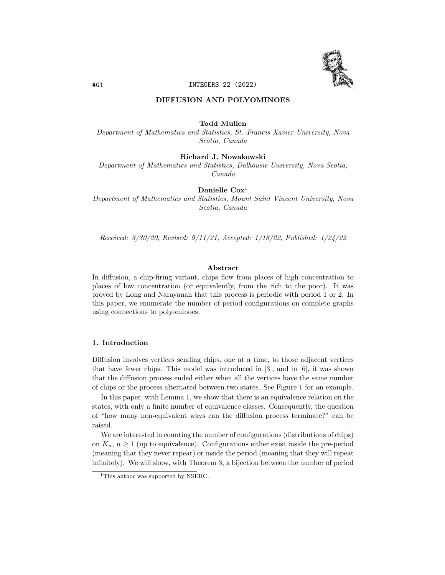

# DIFFUSION AND POLYOMINOES

# Todd Mullen

Department of Mathematics and Statistics, St. Francis Xavier University, Nova Scotia, Canada

# Richard J. Nowakowski

Department of Mathematics and Statistics, Dalhousie University, Nova Scotia, Canada

# Danielle  $\text{Cox}^1$

Department of Mathematics and Statistics, Mount Saint Vincent University, Nova Scotia, Canada

Received: 3/30/20, Revised: 9/11/21, Accepted: 1/18/22, Published: 1/24/22

### Abstract

In diffusion, a chip-firing variant, chips flow from places of high concentration to places of low concentration (or equivalently, from the rich to the poor). It was proved by Long and Narayanan that this process is periodic with period 1 or 2. In this paper, we enumerate the number of period configurations on complete graphs using connections to polyominoes.

#### 1. Introduction

Diffusion involves vertices sending chips, one at a time, to those adjacent vertices that have fewer chips. This model was introduced in [3], and in [6], it was shown that the diffusion process ended either when all the vertices have the same number of chips or the process alternated between two states. See Figure 1 for an example.

In this paper, with Lemma 1, we show that there is an equivalence relation on the states, with only a finite number of equivalence classes. Consequently, the question of "how many non-equivalent ways can the diffusion process terminate?" can be raised.

We are interested in counting the number of configurations (distributions of chips) on  $K_n$ ,  $n \geq 1$  (up to equivalence). Configurations either exist inside the pre-period (meaning that they never repeat) or inside the period (meaning that they will repeat infinitely). We will show, with Theorem 3, a bijection between the number of period

<sup>&</sup>lt;sup>1</sup>This author was supported by NSERC.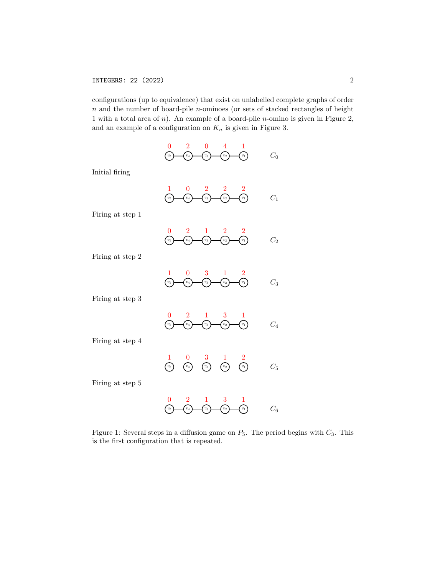configurations (up to equivalence) that exist on unlabelled complete graphs of order  $n$  and the number of board-pile  $n$ -ominoes (or sets of stacked rectangles of height 1 with a total area of  $n$ ). An example of a board-pile  $n$ -omino is given in Figure 2, and an example of a configuration on  $K_n$  is given in Figure 3.

|  | $0 \t 2 \t 0 \t 4 \t 1$ |                                         |       |
|--|-------------------------|-----------------------------------------|-------|
|  |                         | $(v_5)$ $(v_4)$ $(v_3)$ $(v_2)$ $(v_1)$ | $C_0$ |
|  |                         |                                         |       |

Initial firing

|  | $-1$ 0 2 2 2 |                                         |  |
|--|--------------|-----------------------------------------|--|
|  |              | $(v_5)$ $(v_4)$ $(v_3)$ $(v_2)$ $(v_1)$ |  |
|  |              |                                         |  |
|  |              |                                         |  |

Firing at step 1

|  | $0 \t 2 \t 1 \t 2 \t 2$                 |  |  |
|--|-----------------------------------------|--|--|
|  | $(v_5)$ $(v_4)$ $(v_3)$ $(v_2)$ $(v_1)$ |  |  |

Firing at step 2

|  | 1 0 3 1 2                               |         |
|--|-----------------------------------------|---------|
|  | $(v_5)$ $(v_4)$ $(v_3)$ $(v_2)$ $(v_1)$ | $C_{3}$ |

Firing at step 3

3 0 2 1 1 C<sup>4</sup> v<sup>5</sup> v<sup>4</sup> v<sup>3</sup> v<sup>2</sup> v<sup>1</sup>

Firing at step 4

$$
\begin{array}{ccc}\n1 & 0 & 3 & 1 & 2 \\
\hline\n\begin{array}{ccc}\n\text{(v_3)} & \text{(v_4)} & \text{(v_3)} & \text{(v_2)} & \text{(v_1)} \\
\text{(v_4)} & \text{(v_3)} & \text{(v_2)} & \text{(v_1)} & \text{(v_3)}\n\end{array}\n\end{array}
$$

Firing at step 5

$$
\begin{array}{ccccc}\n0 & 2 & 1 & 3 & 1\\
\hline\nc_5 & & c_4 & & c_3 & & c_2 & & c_1\\
\end{array}\n\qquad\n\begin{array}{ccccc}\nC_6 & & & C_7 & & & C_8 \\
\hline\nC_8 & & & C_9 & & & C_9 & & c_1\\
\end{array}
$$

Figure 1: Several steps in a diffusion game on  $P_5$ . The period begins with  $C_3$ . This is the first configuration that is repeated.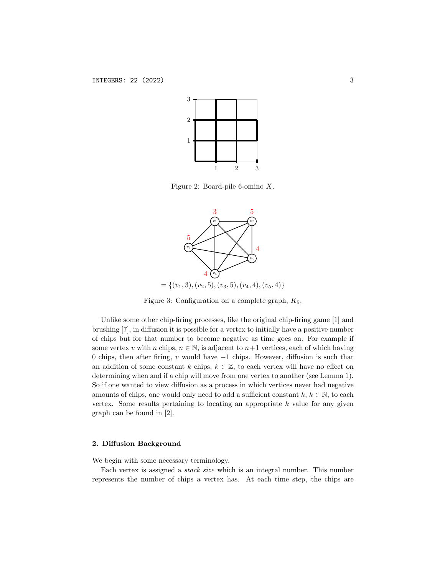

Figure 2: Board-pile 6-omino X.



Figure 3: Configuration on a complete graph,  $K_5$ .

Unlike some other chip-firing processes, like the original chip-firing game [1] and brushing [7], in diffusion it is possible for a vertex to initially have a positive number of chips but for that number to become negative as time goes on. For example if some vertex v with n chips,  $n \in \mathbb{N}$ , is adjacent to  $n+1$  vertices, each of which having 0 chips, then after firing, v would have  $-1$  chips. However, diffusion is such that an addition of some constant k chips,  $k \in \mathbb{Z}$ , to each vertex will have no effect on determining when and if a chip will move from one vertex to another (see Lemma 1). So if one wanted to view diffusion as a process in which vertices never had negative amounts of chips, one would only need to add a sufficient constant  $k, k \in \mathbb{N}$ , to each vertex. Some results pertaining to locating an appropriate  $k$  value for any given graph can be found in [2].

# 2. Diffusion Background

We begin with some necessary terminology.

Each vertex is assigned a stack size which is an integral number. This number represents the number of chips a vertex has. At each time step, the chips are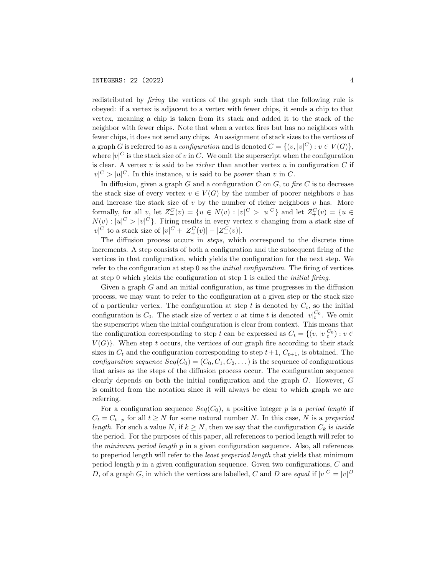redistributed by *firing* the vertices of the graph such that the following rule is obeyed: if a vertex is adjacent to a vertex with fewer chips, it sends a chip to that vertex, meaning a chip is taken from its stack and added it to the stack of the neighbor with fewer chips. Note that when a vertex fires but has no neighbors with fewer chips, it does not send any chips. An assignment of stack sizes to the vertices of a graph G is referred to as a *configuration* and is denoted  $C = \{(v, |v|^C) : v \in V(G)\},\$ where  $|v|^C$  is the stack size of v in C. We omit the superscript when the configuration is clear. A vertex  $v$  is said to be *richer* than another vertex  $u$  in configuration  $C$  if  $|v|^C > |u|^C$ . In this instance, u is said to be *poorer* than v in C.

In diffusion, given a graph  $G$  and a configuration  $C$  on  $G$ , to fire  $C$  is to decrease the stack size of every vertex  $v \in V(G)$  by the number of poorer neighbors v has and increase the stack size of  $v$  by the number of richer neighbors  $v$  has. More formally, for all v, let  $Z_{-}^C(v) = \{u \in N(v) : |v|^C > |u|^C\}$  and let  $Z_{+}^C(v) = \{u \in$  $N(v): |u|^C > |v|^C$ . Firing results in every vertex v changing from a stack size of  $|v|^C$  to a stack size of  $|v|^C + |Z_+^C(v)| - |Z_-^C(v)|$ .

The diffusion process occurs in steps, which correspond to the discrete time increments. A step consists of both a configuration and the subsequent firing of the vertices in that configuration, which yields the configuration for the next step. We refer to the configuration at step 0 as the *initial configuration*. The firing of vertices at step 0 which yields the configuration at step 1 is called the initial firing.

Given a graph  $G$  and an initial configuration, as time progresses in the diffusion process, we may want to refer to the configuration at a given step or the stack size of a particular vertex. The configuration at step t is denoted by  $C_t$ , so the initial configuration is  $C_0$ . The stack size of vertex v at time t is denoted  $|v|_t^{C_0}$ . We omit the superscript when the initial configuration is clear from context. This means that the configuration corresponding to step t can be expressed as  $C_t = \{(v, |v|_t^{C_0}) : v \in$  $V(G)$ . When step t occurs, the vertices of our graph fire according to their stack sizes in  $C_t$  and the configuration corresponding to step  $t+1$ ,  $C_{t+1}$ , is obtained. The *configuration sequence*  $Seq(C_0) = (C_0, C_1, C_2, \dots)$  is the sequence of configurations that arises as the steps of the diffusion process occur. The configuration sequence clearly depends on both the initial configuration and the graph G. However, G is omitted from the notation since it will always be clear to which graph we are referring.

For a configuration sequence  $Seq(C_0)$ , a positive integer p is a period length if  $C_t = C_{t+p}$  for all  $t \geq N$  for some natural number N. In this case, N is a preperiod length. For such a value N, if  $k \geq N$ , then we say that the configuration  $C_k$  is inside the period. For the purposes of this paper, all references to period length will refer to the *minimum period length*  $p$  in a given configuration sequence. Also, all references to preperiod length will refer to the least preperiod length that yields that minimum period length p in a given configuration sequence. Given two configurations, C and D, of a graph G, in which the vertices are labelled, C and D are equal if  $|v|^C = |v|^D$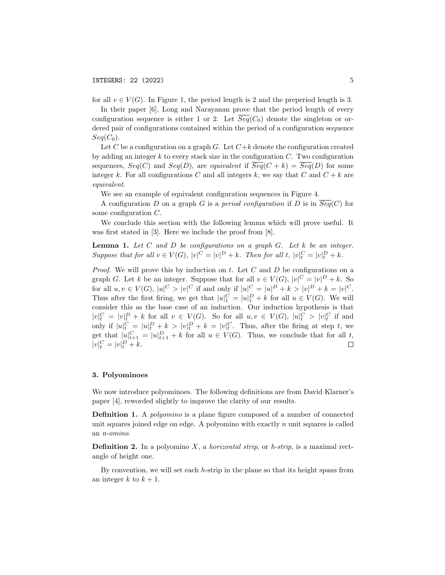for all  $v \in V(G)$ . In Figure 1, the period length is 2 and the preperiod length is 3.

In their paper [6], Long and Narayanan prove that the period length of every configuration sequence is either 1 or 2. Let  $\overline{Seq}(C_0)$  denote the singleton or ordered pair of configurations contained within the period of a configuration sequence  $Seq(C_0)$ .

Let C be a configuration on a graph G. Let  $C+k$  denote the configuration created by adding an integer  $k$  to every stack size in the configuration  $C$ . Two configuration sequences,  $Seq(C)$  and  $Seq(D)$ , are equivalent if  $\overline{Seq}(C + k) = \overline{Seq}(D)$  for some integer k. For all configurations C and all integers k, we say that C and  $C + k$  are equivalent.

We see an example of equivalent configuration sequences in Figure 4.

A configuration D on a graph G is a period configuration if D is in  $\overline{Seq}(C)$  for some configuration C.

We conclude this section with the following lemma which will prove useful. It was first stated in [3]. Here we include the proof from [8].

**Lemma 1.** Let C and D be configurations on a graph G. Let  $k$  be an integer. Suppose that for all  $v \in V(G)$ ,  $|v|^C = |v|^D + k$ . Then for all t,  $|v|_t^C = |v|_t^D + k$ .

*Proof.* We will prove this by induction on  $t$ . Let  $C$  and  $D$  be configurations on a graph G. Let k be an integer. Suppose that for all  $v \in V(G)$ ,  $|v|^C = |v|^D + k$ . So for all  $u, v \in V(G)$ ,  $|u|^C > |v|^C$  if and only if  $|u|^C = |u|^D + k > |v|^D + k = |v|^C$ . Thus after the first firing, we get that  $|u|_1^C = |u|_1^D + k$  for all  $u \in V(G)$ . We will consider this as the base case of an induction. Our induction hypothesis is that  $|v|_t^C = |v|_t^D + k$  for all  $v \in V(G)$ . So for all  $u, v \in V(G)$ ,  $|u|_t^C > |v|_t^C$  if and only if  $|u|^C_t = |u|^D_t + k > |v|^D_t + k = |v|^C_t$ . Thus, after the firing at step t, we get that  $|u|_{t+1}^C = |u|_{t+1}^D + k$  for all  $u \in V(G)$ . Thus, we conclude that for all t,  $|v|_t^C = |v|_t^D + k.$  $\Box$ 

### 3. Polyominoes

We now introduce polyominoes. The following definitions are from David Klarner's paper [4], reworded slightly to improve the clarity of our results.

Definition 1. A polyomino is a plane figure composed of a number of connected unit squares joined edge on edge. A polyomino with exactly  $n$  unit squares is called an n-omino.

**Definition 2.** In a polyomino  $X$ , a *horizontal strip*, or  $h$ -strip, is a maximal rectangle of height one.

By convention, we will set each  $h$ -strip in the plane so that its height spans from an integer k to  $k + 1$ .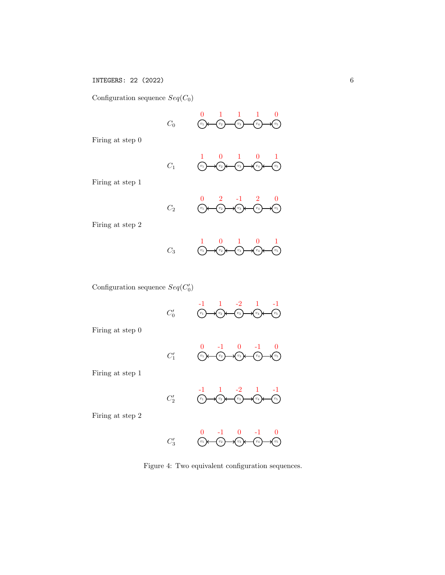Configuration sequence  $Seq(C_0)$ 

 $v_1$  $\overline{0}$  $\widehat{v_2}$ 1  $v_3$ 1  $\widehat{v_4}$ 1  $v_5$ 0  $C_0$ 

Firing at step 0

$$
C_1 \qquad \qquad \frac{1}{\binom{v_1}{\cdots}} \qquad \qquad \frac{0}{\binom{v_2}{\cdots}} \qquad \qquad \frac{1}{\binom{v_3}{\cdots}} \qquad \qquad \frac{0}{\binom{v_4}{\cdots}} \qquad \qquad \frac{1}{\binom{v_5}{\cdots}}
$$

Firing at step 1

|       |  | $0 \t 2 \t -1 \t 2 \t 0$                                                                                                                                                                                                                                                                                                                                                                                                                                                                                                          |  |
|-------|--|-----------------------------------------------------------------------------------------------------------------------------------------------------------------------------------------------------------------------------------------------------------------------------------------------------------------------------------------------------------------------------------------------------------------------------------------------------------------------------------------------------------------------------------|--|
| $C_2$ |  | $\begin{array}{ccc}\n\begin{array}{ccc}\n\begin{array}{ccc}\n\begin{array}{ccc}\n\end{array}\n\end{array}\n\end{array}\n\end{array}\n\end{array}\n\begin{array}{ccc}\n\begin{array}{ccc}\n\end{array}\n\end{array}\n\end{array}\n\begin{array}{ccc}\n\begin{array}{ccc}\n\end{array}\n\end{array}\n\end{array}\n\begin{array}{ccc}\n\end{array}\n\end{array}\n\begin{array}{ccc}\n\end{array}\n\end{array}\n\begin{array}{ccc}\n\end{array}\n\end{array}\n\begin{array}{ccc}\n\end{array}\n\begin{array}{ccc}\n\end{array}\n\end$ |  |

Firing at step 2

$$
C_3 \qquad \qquad \frac{1}{\binom{v_1}{\cdots}} \qquad \qquad \frac{1}{\binom{v_2}{\cdots}} \qquad \qquad \frac{1}{\binom{v_3}{\cdots}} \qquad \qquad \frac{1}{\binom{v_4}{\cdots}} \qquad \qquad \frac{1}{\binom{v_5}{\cdots}}
$$

Configuration sequence  $Seq(C'_0)$ 

$$
C'_0 \qquad \qquad \overbrace{\begin{array}{c} \n\overbrace{\phantom{0}}^{v_1} \quad \cdots \quad \overbrace{\phantom{0}}^{v_2} \quad \cdots \quad \overbrace{\phantom{0}}^{v_3} \quad \cdots \quad \overbrace{\phantom{0}}^{v_4} \quad \cdots \quad \overbrace{\phantom{0}}^{v_5} \quad \cdots \quad \overbrace{\phantom{0}}^{v_6} \quad \cdots \quad \overbrace{\phantom{0}}^{v_7} \quad \cdots \quad \overbrace{\phantom{0}}^{v_8} \quad \cdots \quad \overbrace{\phantom{0}}^{v_9} \quad \cdots \quad \overbrace{\phantom{0}}^{v_8} \quad \cdots \quad \overbrace{\phantom{0}}^{v_9} \quad \cdots \quad \overbrace{\phantom{0}}^{v_9} \quad \cdots \quad \overbrace{\phantom{0}}^{v_1} \quad \cdots \quad \overbrace{\phantom{0}}^{v_1} \quad \cdots \quad \overbrace{\phantom{0}}^{v_1} \quad \cdots \quad \overbrace{\phantom{0}}^{v_1} \quad \cdots \quad \overbrace{\phantom{0}}^{v_1} \quad \cdots \quad \overbrace{\phantom{0}}^{v_1} \quad \cdots \quad \overbrace{\phantom{0}}^{v_1} \quad \cdots \quad \overbrace{\phantom{0}}^{v_1} \quad \cdots \quad \overbrace{\phantom{0}}^{v_2} \quad \cdots \quad \overbrace{\phantom{0}}^{v_3} \quad \cdots \quad \overbrace{\phantom{0}}^{v_4} \quad \cdots \quad \overbrace{\phantom{0}}^{v_5} \quad \cdots \quad \overbrace{\phantom{0}}^{v_1} \quad \cdots \quad \overbrace{\phantom{0}}^{v_1} \quad \cdots \quad \overbrace{\phantom{0}}^{v_1} \quad \cdots \quad \overbrace{\phantom{0}}^{v_1} \quad \cdots \quad \overbrace{\phantom{0}}^{v_1} \quad \cdots \quad \overbrace{\phantom{0}}^{v_1} \quad \cdots \quad \overbrace{\phantom{0}}^{v_1} \quad \cdots \quad \overbrace{\phantom{0}}^{v_1} \quad \cdots \quad \overbrace{\phantom{0}}^{v_1} \quad \cdots \quad \overbrace{\phantom{0}}^{v_1} \quad \cdots \quad \overbrace{\phantom{0}}^{v_1} \quad \cdots \quad \overbrace
$$

Firing at step 0

|        |  | $0 \t -1 \t 0 \t -1 \t 0$                                                                                                                                |  |
|--------|--|----------------------------------------------------------------------------------------------------------------------------------------------------------|--|
| $C_1'$ |  | $\underbrace{(v_1)}\longleftarrow \underbrace{(v_2)}\longleftarrow \underbrace{(v_3)}\longleftarrow \underbrace{(v_4)}\longleftarrow \underbrace{(v_5)}$ |  |

Firing at step 1



Firing at step 2



Figure 4: Two equivalent configuration sequences.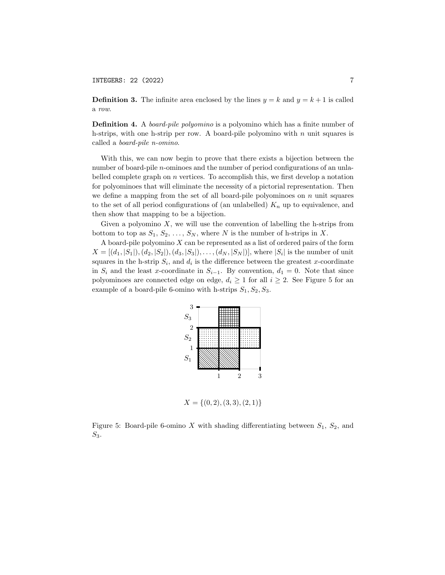# INTEGERS: 22 (2022) 7

**Definition 3.** The infinite area enclosed by the lines  $y = k$  and  $y = k + 1$  is called a row.

**Definition 4.** A *board-pile polyomino* is a polyomino which has a finite number of h-strips, with one h-strip per row. A board-pile polyomino with  $n$  unit squares is called a board-pile n-omino.

With this, we can now begin to prove that there exists a bijection between the number of board-pile n-ominoes and the number of period configurations of an unlabelled complete graph on  $n$  vertices. To accomplish this, we first develop a notation for polyominoes that will eliminate the necessity of a pictorial representation. Then we define a mapping from the set of all board-pile polyominoes on  $n$  unit squares to the set of all period configurations of (an unlabelled)  $K_n$  up to equivalence, and then show that mapping to be a bijection.

Given a polyomino  $X$ , we will use the convention of labelling the h-strips from bottom to top as  $S_1, S_2, \ldots, S_N$ , where N is the number of h-strips in X.

A board-pile polyomino  $X$  can be represented as a list of ordered pairs of the form  $X = [(d_1, |S_1|), (d_2, |S_2|), (d_3, |S_3|), \ldots, (d_N, |S_N|)],$  where  $|S_i|$  is the number of unit squares in the h-strip  $S_i$ , and  $d_i$  is the difference between the greatest x-coordinate in  $S_i$  and the least x-coordinate in  $S_{i-1}$ . By convention,  $d_1 = 0$ . Note that since polyominoes are connected edge on edge,  $d_i \geq 1$  for all  $i \geq 2$ . See Figure 5 for an example of a board-pile 6-omino with h-strips  $S_1, S_2, S_3$ .



 $X = \{(0, 2), (3, 3), (2, 1)\}\$ 

Figure 5: Board-pile 6-omino X with shading differentiating between  $S_1$ ,  $S_2$ , and  $S_3$ .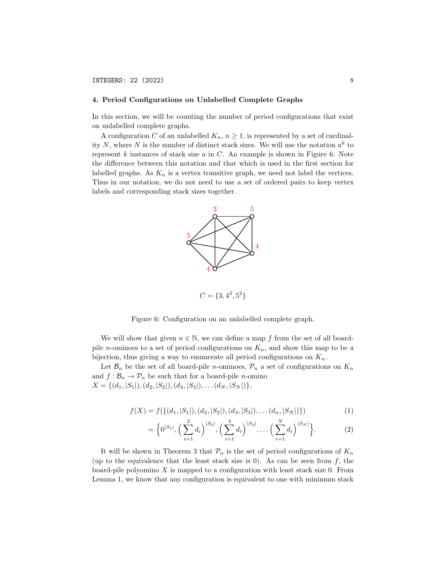### 4. Period Configurations on Unlabelled Complete Graphs

In this section, we will be counting the number of period configurations that exist on unlabelled complete graphs.

A configuration C of an unlabelled  $K_n$ ,  $n \geq 1$ , is represented by a set of cardinality N, where N is the number of distinct stack sizes. We will use the notation  $a^k$  to represent  $k$  instances of stack size  $a$  in  $C$ . An example is shown in Figure 6. Note the difference between this notation and that which is used in the first section for labelled graphs. As  $K_n$  is a vertex transitive graph, we need not label the vertices. Thus in our notation, we do not need to use a set of ordered pairs to keep vertex labels and corresponding stack sizes together.



$$
C = \{3, 4^2, 5^2\}
$$

Figure 6: Configuration on an unlabelled complete graph.

We will show that given  $n \in \mathbb{N}$ , we can define a map f from the set of all boardpile *n*-ominoes to a set of period configurations on  $K_n$ , and show this map to be a bijection, thus giving a way to enumerate all period configurations on  $K_n$ .

Let  $\mathcal{B}_n$  be the set of all board-pile *n*-ominoes,  $\mathcal{P}_n$  a set of configurations on  $K_n$ and  $f : \mathcal{B}_n \to \mathcal{P}_n$  be such that for a board-pile *n*-omino  $X = \{(d_1, |S_1|), (d_2, |S_2|), (d_3, |S_3|), \ldots (d_N, |S_N|)\},\$ 

$$
f(X) = f(\{(d_1, |S_1|), (d_2, |S_2|), (d_3, |S_3|), \dots (d_n, |S_N|)\})
$$
\n<sup>(1)</sup>

$$
= \Big\{0^{|S_1|}, \Big(\sum_{i=1}^2 d_i\Big)^{|S_2|}, \Big(\sum_{i=1}^3 d_i\Big)^{|S_3|}, \dots \Big(\sum_{i=1}^N d_i\Big)^{|S_N|}\Big\}.
$$
 (2)

It will be shown in Theorem 3 that  $\mathcal{P}_n$  is the set of period configurations of  $K_n$ (up to the equivalence that the least stack size is 0). As can be seen from  $f$ , the board-pile polyomino  $X$  is mapped to a configuration with least stack size 0. From Lemma 1, we know that any configuration is equivalent to one with minimum stack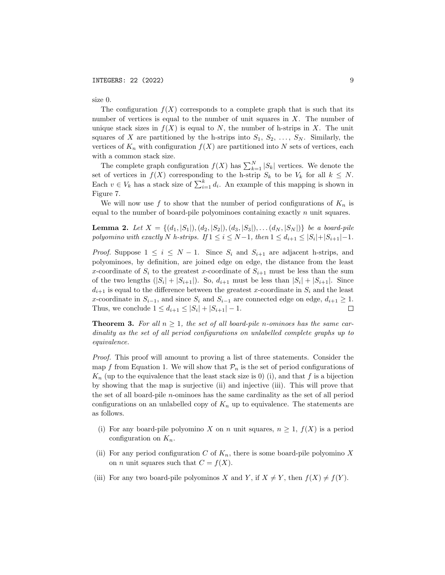size 0.

The configuration  $f(X)$  corresponds to a complete graph that is such that its number of vertices is equal to the number of unit squares in  $X$ . The number of unique stack sizes in  $f(X)$  is equal to N, the number of h-strips in X. The unit squares of X are partitioned by the h-strips into  $S_1, S_2, \ldots, S_N$ . Similarly, the vertices of  $K_n$  with configuration  $f(X)$  are partitioned into N sets of vertices, each with a common stack size.

The complete graph configuration  $f(X)$  has  $\sum_{k=1}^{N} |S_k|$  vertices. We denote the set of vertices in  $f(X)$  corresponding to the h-strip  $S_k$  to be  $V_k$  for all  $k \leq N$ . Each  $v \in V_k$  has a stack size of  $\sum_{i=1}^k d_i$ . An example of this mapping is shown in Figure 7.

We will now use f to show that the number of period configurations of  $K_n$  is equal to the number of board-pile polyominoes containing exactly  $n$  unit squares.

**Lemma 2.** Let  $X = \{(d_1, |S_1|), (d_2, |S_2|), (d_3, |S_3|), \ldots (d_N, |S_N|)\}\$ be a board-pile polyomino with exactly N h-strips. If  $1 \le i \le N-1$ , then  $1 \le d_{i+1} \le |S_i|+|S_{i+1}|-1$ .

*Proof.* Suppose  $1 \leq i \leq N-1$ . Since  $S_i$  and  $S_{i+1}$  are adjacent h-strips, and polyominoes, by definition, are joined edge on edge, the distance from the least x-coordinate of  $S_i$  to the greatest x-coordinate of  $S_{i+1}$  must be less than the sum of the two lengths  $(|S_i| + |S_{i+1}|)$ . So,  $d_{i+1}$  must be less than  $|S_i| + |S_{i+1}|$ . Since  $d_{i+1}$  is equal to the difference between the greatest x-coordinate in  $S_i$  and the least x-coordinate in  $S_{i-1}$ , and since  $S_i$  and  $S_{i-1}$  are connected edge on edge,  $d_{i+1} \geq 1$ . Thus, we conclude  $1 \le d_{i+1} \le |S_i| + |S_{i+1}| - 1$ .  $\Box$ 

**Theorem 3.** For all  $n \geq 1$ , the set of all board-pile n-ominoes has the same cardinality as the set of all period configurations on unlabelled complete graphs up to equivalence.

Proof. This proof will amount to proving a list of three statements. Consider the map f from Equation 1. We will show that  $\mathcal{P}_n$  is the set of period configurations of  $K_n$  (up to the equivalence that the least stack size is 0) (i), and that f is a bijection by showing that the map is surjective (ii) and injective (iii). This will prove that the set of all board-pile n-ominoes has the same cardinality as the set of all period configurations on an unlabelled copy of  $K_n$  up to equivalence. The statements are as follows.

- (i) For any board-pile polyomino X on n unit squares,  $n \geq 1$ ,  $f(X)$  is a period configuration on  $K_n$ .
- (ii) For any period configuration C of  $K_n$ , there is some board-pile polyomino X on *n* unit squares such that  $C = f(X)$ .
- (iii) For any two board-pile polyominos X and Y, if  $X \neq Y$ , then  $f(X) \neq f(Y)$ .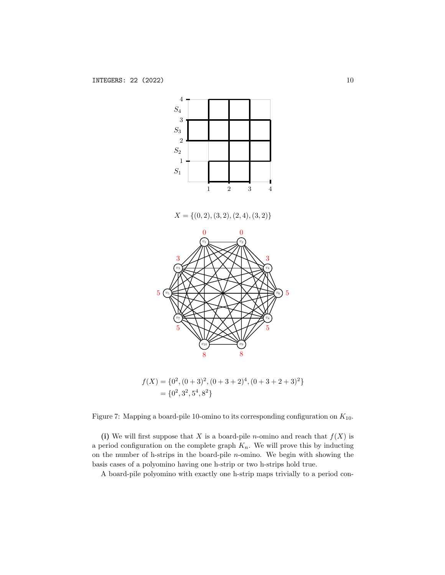

 $X = \{(0, 2), (3, 2), (2, 4), (3, 2)\}$ 



 $f(X) = \{0^2, (0+3)^2, (0+3+2)^4, (0+3+2+3)^2\}$  $=\{0^2, 3^2, 5^4, 8^2\}$ 

Figure 7: Mapping a board-pile 10-omino to its corresponding configuration on  $K_{10}$ .

(i) We will first suppose that X is a board-pile *n*-omino and reach that  $f(X)$  is a period configuration on the complete graph  $K_n$ . We will prove this by inducting on the number of h-strips in the board-pile n-omino. We begin with showing the basis cases of a polyomino having one h-strip or two h-strips hold true.

A board-pile polyomino with exactly one h-strip maps trivially to a period con-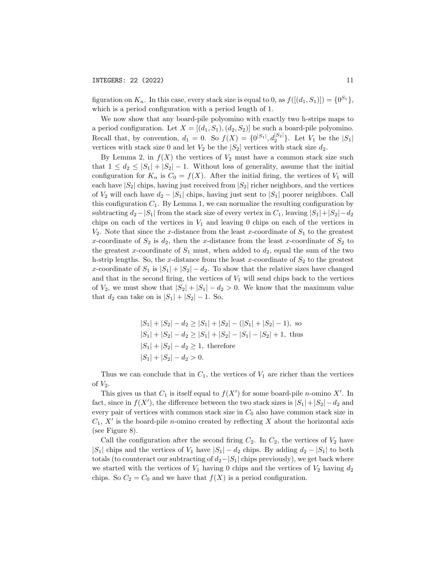figuration on  $K_n$ . In this case, every stack size is equal to 0, as  $f([(d_1, S_1)]) = \{0^{S_1}\},\$ which is a period configuration with a period length of 1.

We now show that any board-pile polyomino with exactly two h-strips maps to a period configuration. Let  $X = [(d_1, S_1), (d_2, S_2)]$  be such a board-pile polyomino. Recall that, by convention,  $d_1 = 0$ . So  $f(X) = \{0^{|S_1|}, d_2^{|S_2|}\}\$ . Let  $V_1$  be the  $|S_1|$ vertices with stack size 0 and let  $V_2$  be the  $|S_2|$  vertices with stack size  $d_2$ .

By Lemma 2, in  $f(X)$  the vertices of  $V_2$  must have a common stack size such that  $1 \leq d_2 \leq |S_1| + |S_2| - 1$ . Without loss of generality, assume that the initial configuration for  $K_n$  is  $C_0 = f(X)$ . After the initial firing, the vertices of  $V_1$  will each have  $|S_2|$  chips, having just received from  $|S_2|$  richer neighbors, and the vertices of  $V_2$  will each have  $d_2 - |S_1|$  chips, having just sent to  $|S_1|$  poorer neighbors. Call this configuration  $C_1$ . By Lemma 1, we can normalize the resulting configuration by subtracting  $d_2-|S_1|$  from the stack size of every vertex in  $C_1$ , leaving  $|S_1|+|S_2|-d_2$ chips on each of the vertices in  $V_1$  and leaving 0 chips on each of the vertices in  $V_2$ . Note that since the x-distance from the least x-coordinate of  $S_1$  to the greatest x-coordinate of  $S_2$  is  $d_2$ , then the x-distance from the least x-coordinate of  $S_2$  to the greatest x-coordinate of  $S_1$  must, when added to  $d_2$ , equal the sum of the two h-strip lengths. So, the x-distance from the least x-coordinate of  $S_2$  to the greatest x-coordinate of  $S_1$  is  $|S_1| + |S_2| - d_2$ . To show that the relative sizes have changed and that in the second firing, the vertices of  $V_1$  will send chips back to the vertices of  $V_2$ , we must show that  $|S_2| + |S_1| - d_2 > 0$ . We know that the maximum value that  $d_2$  can take on is  $|S_1| + |S_2| - 1$ . So,

$$
|S_1| + |S_2| - d_2 \ge |S_1| + |S_2| - (|S_1| + |S_2| - 1),
$$
 so  

$$
|S_1| + |S_2| - d_2 \ge |S_1| + |S_2| - |S_1| - |S_2| + 1,
$$
 thus  

$$
|S_1| + |S_2| - d_2 \ge 1,
$$
 therefore  

$$
|S_1| + |S_2| - d_2 > 0.
$$

Thus we can conclude that in  $C_1$ , the vertices of  $V_1$  are richer than the vertices of  $V_2$ .

This gives us that  $C_1$  is itself equal to  $f(X')$  for some board-pile *n*-omino X'. In fact, since in  $f(X')$ , the difference between the two stack sizes is  $|S_1|+|S_2|-d_2$  and every pair of vertices with common stack size in  $C_0$  also have common stack size in  $C_1$ , X' is the board-pile *n*-omino created by reflecting X about the horizontal axis (see Figure 8).

Call the configuration after the second firing  $C_2$ . In  $C_2$ , the vertices of  $V_2$  have |S<sub>1</sub>| chips and the vertices of  $V_1$  have  $|S_1| - d_2$  chips. By adding  $d_2 - |S_1|$  to both totals (to counteract our subtracting of  $d_2-|S_1|$  chips previously), we get back where we started with the vertices of  $V_1$  having 0 chips and the vertices of  $V_2$  having  $d_2$ chips. So  $C_2 = C_0$  and we have that  $f(X)$  is a period configuration.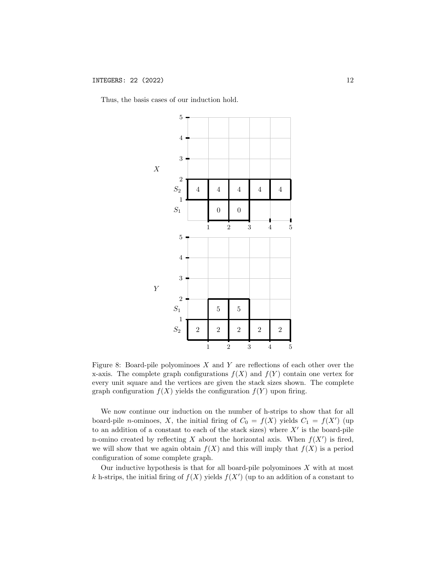Thus, the basis cases of our induction hold.



Figure 8: Board-pile polyominoes  $X$  and  $Y$  are reflections of each other over the x-axis. The complete graph configurations  $f(X)$  and  $f(Y)$  contain one vertex for every unit square and the vertices are given the stack sizes shown. The complete graph configuration  $f(X)$  yields the configuration  $f(Y)$  upon firing.

We now continue our induction on the number of h-strips to show that for all board-pile *n*-ominoes, X, the initial firing of  $C_0 = f(X)$  yields  $C_1 = f(X')$  (up to an addition of a constant to each of the stack sizes) where  $X'$  is the board-pile n-omino created by reflecting X about the horizontal axis. When  $f(X')$  is fired, we will show that we again obtain  $f(X)$  and this will imply that  $f(X)$  is a period configuration of some complete graph.

Our inductive hypothesis is that for all board-pile polyominoes  $X$  with at most k h-strips, the initial firing of  $f(X)$  yields  $f(X')$  (up to an addition of a constant to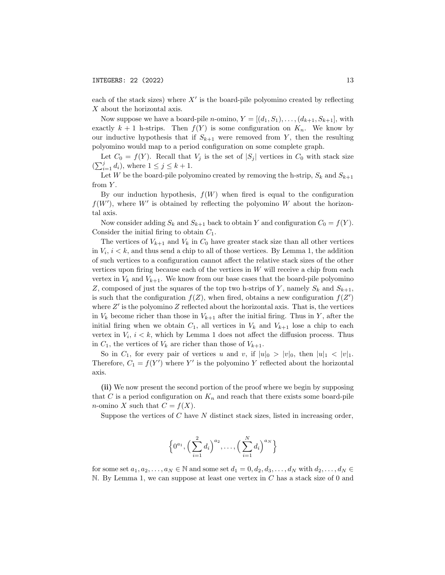each of the stack sizes) where  $X'$  is the board-pile polyomino created by reflecting X about the horizontal axis.

Now suppose we have a board-pile *n*-omino,  $Y = [(d_1, S_1), \ldots, (d_{k+1}, S_{k+1}],$  with exactly  $k + 1$  h-strips. Then  $f(Y)$  is some configuration on  $K_n$ . We know by our inductive hypothesis that if  $S_{k+1}$  were removed from Y, then the resulting polyomino would map to a period configuration on some complete graph.

Let  $C_0 = f(Y)$ . Recall that  $V_j$  is the set of  $|S_j|$  vertices in  $C_0$  with stack size  $(\sum_{i=1}^j d_i)$ , where  $1 \leq j \leq k+1$ .

Let W be the board-pile polyomino created by removing the h-strip,  $S_k$  and  $S_{k+1}$ from  $Y$ .

By our induction hypothesis,  $f(W)$  when fired is equal to the configuration  $f(W')$ , where W' is obtained by reflecting the polyomino W about the horizontal axis.

Now consider adding  $S_k$  and  $S_{k+1}$  back to obtain Y and configuration  $C_0 = f(Y)$ . Consider the initial firing to obtain  $C_1$ .

The vertices of  $V_{k+1}$  and  $V_k$  in  $C_0$  have greater stack size than all other vertices in  $V_i$ ,  $i < k$ , and thus send a chip to all of those vertices. By Lemma 1, the addition of such vertices to a configuration cannot affect the relative stack sizes of the other vertices upon firing because each of the vertices in  $W$  will receive a chip from each vertex in  $V_k$  and  $V_{k+1}$ . We know from our base cases that the board-pile polyomino Z, composed of just the squares of the top two h-strips of Y, namely  $S_k$  and  $S_{k+1}$ , is such that the configuration  $f(Z)$ , when fired, obtains a new configuration  $f(Z')$ where  $Z'$  is the polyomino  $Z$  reflected about the horizontal axis. That is, the vertices in  $V_k$  become richer than those in  $V_{k+1}$  after the initial firing. Thus in Y, after the initial firing when we obtain  $C_1$ , all vertices in  $V_k$  and  $V_{k+1}$  lose a chip to each vertex in  $V_i$ ,  $i < k$ , which by Lemma 1 does not affect the diffusion process. Thus in  $C_1$ , the vertices of  $V_k$  are richer than those of  $V_{k+1}$ .

So in  $C_1$ , for every pair of vertices u and v, if  $|u|_0 > |v|_0$ , then  $|u|_1 < |v|_1$ . Therefore,  $C_1 = f(Y')$  where Y' is the polyomino Y reflected about the horizontal axis.

(ii) We now present the second portion of the proof where we begin by supposing that C is a period configuration on  $K_n$  and reach that there exists some board-pile *n*-omino X such that  $C = f(X)$ .

Suppose the vertices of  $C$  have  $N$  distinct stack sizes, listed in increasing order,

$$
\left\{0^{a_1}, \left(\sum_{i=1}^2 d_i\right)^{a_2}, \ldots, \left(\sum_{i=1}^N d_i\right)^{a_N}\right\}
$$

for some set  $a_1, a_2, \ldots, a_N \in \mathbb{N}$  and some set  $d_1 = 0, d_2, d_3, \ldots, d_N$  with  $d_2, \ldots, d_N \in$  $\mathbb N$ . By Lemma 1, we can suppose at least one vertex in C has a stack size of 0 and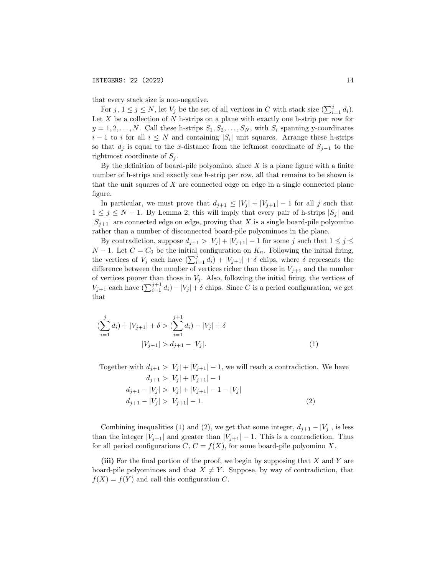that every stack size is non-negative.

For  $j, 1 \leq j \leq N$ , let  $V_j$  be the set of all vertices in C with stack size  $(\sum_{i=1}^j d_i)$ . Let  $X$  be a collection of  $N$  h-strips on a plane with exactly one h-strip per row for  $y = 1, 2, \ldots, N$ . Call these h-strips  $S_1, S_2, \ldots, S_N$ , with  $S_i$  spanning y-coordinates  $i-1$  to i for all  $i \leq N$  and containing  $|S_i|$  unit squares. Arrange these h-strips so that  $d_j$  is equal to the x-distance from the leftmost coordinate of  $S_{j-1}$  to the rightmost coordinate of  $S_i$ .

By the definition of board-pile polyomino, since  $X$  is a plane figure with a finite number of h-strips and exactly one h-strip per row, all that remains to be shown is that the unit squares of  $X$  are connected edge on edge in a single connected plane figure.

In particular, we must prove that  $d_{j+1} \leq |V_j| + |V_{j+1}| - 1$  for all j such that  $1 \leq j \leq N-1$ . By Lemma 2, this will imply that every pair of h-strips  $|S_j|$  and  $|S_{i+1}|$  are connected edge on edge, proving that X is a single board-pile polyomino rather than a number of disconnected board-pile polyominoes in the plane.

By contradiction, suppose  $d_{j+1} > |V_j| + |V_{j+1}| - 1$  for some j such that  $1 \le j \le k$  $N-1$ . Let  $C = C_0$  be the initial configuration on  $K_n$ . Following the initial firing, the vertices of  $V_j$  each have  $(\sum_{i=1}^j d_i) + |V_{j+1}| + \delta$  chips, where  $\delta$  represents the difference between the number of vertices richer than those in  $V_{j+1}$  and the number of vertices poorer than those in  $V_i$ . Also, following the initial firing, the vertices of  $V_{j+1}$  each have  $\left(\sum_{i=1}^{j+1} d_i\right) - |V_j| + \delta$  chips. Since C is a period configuration, we get that

$$
\left(\sum_{i=1}^{j} d_i\right) + |V_{j+1}| + \delta > \left(\sum_{i=1}^{j+1} d_i\right) - |V_j| + \delta
$$
\n
$$
|V_{j+1}| > d_{j+1} - |V_j|.
$$
\n<sup>(1)</sup>

Together with  $d_{j+1} > |V_j| + |V_{j+1}| - 1$ , we will reach a contradiction. We have

$$
d_{j+1} > |V_j| + |V_{j+1}| - 1
$$
  
\n
$$
d_{j+1} - |V_j| > |V_j| + |V_{j+1}| - 1 - |V_j|
$$
  
\n
$$
d_{j+1} - |V_j| > |V_{j+1}| - 1.
$$
\n(2)

Combining inequalities (1) and (2), we get that some integer,  $d_{j+1} - |V_j|$ , is less than the integer  $|V_{j+1}|$  and greater than  $|V_{j+1}| - 1$ . This is a contradiction. Thus for all period configurations  $C, C = f(X)$ , for some board-pile polyomino X.

(iii) For the final portion of the proof, we begin by supposing that X and Y are board-pile polyominoes and that  $X \neq Y$ . Suppose, by way of contradiction, that  $f(X) = f(Y)$  and call this configuration C.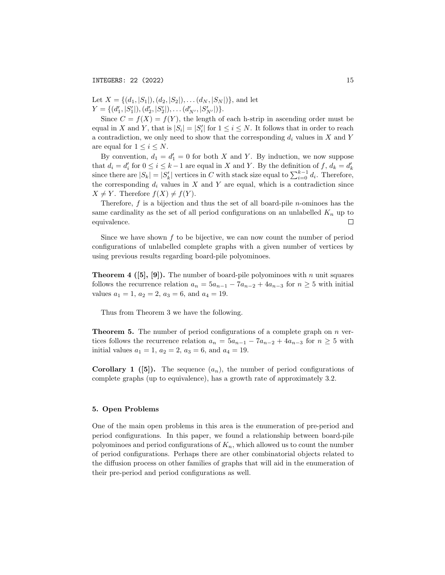Let  $X = \{(d_1, |S_1|), (d_2, |S_2|), \ldots (d_N, |S_N|)\}\)$ , and let  $Y = \{ (d'_1, |S'_1|), (d'_2, |S'_2|), \ldots (d'_{N'}, |S'_{N'}|) \}.$ 

Since  $C = f(X) = f(Y)$ , the length of each h-strip in ascending order must be equal in X and Y, that is  $|S_i| = |S'_i|$  for  $1 \le i \le N$ . It follows that in order to reach a contradiction, we only need to show that the corresponding  $d_i$  values in X and Y are equal for  $1 \leq i \leq N$ .

By convention,  $d_1 = d_1' = 0$  for both X and Y. By induction, we now suppose that  $d_i = d'_i$  for  $0 \leq i \leq k-1$  are equal in X and Y. By the definition of  $f, d_k = d'_k$ since there are  $|S_k| = |S'_k|$  vertices in C with stack size equal to  $\sum_{i=0}^{k-1} d_i$ . Therefore, the corresponding  $d_i$  values in X and Y are equal, which is a contradiction since  $X \neq Y$ . Therefore  $f(X) \neq f(Y)$ .

Therefore,  $f$  is a bijection and thus the set of all board-pile *n*-ominoes has the same cardinality as the set of all period configurations on an unlabelled  $K_n$  up to equivalence.  $\Box$ 

Since we have shown  $f$  to be bijective, we can now count the number of period configurations of unlabelled complete graphs with a given number of vertices by using previous results regarding board-pile polyominoes.

**Theorem 4 ([5], [9]).** The number of board-pile polyominoes with n unit squares follows the recurrence relation  $a_n = 5a_{n-1} - 7a_{n-2} + 4a_{n-3}$  for  $n \ge 5$  with initial values  $a_1 = 1$ ,  $a_2 = 2$ ,  $a_3 = 6$ , and  $a_4 = 19$ .

Thus from Theorem 3 we have the following.

**Theorem 5.** The number of period configurations of a complete graph on  $n$  vertices follows the recurrence relation  $a_n = 5a_{n-1} - 7a_{n-2} + 4a_{n-3}$  for  $n \ge 5$  with initial values  $a_1 = 1$ ,  $a_2 = 2$ ,  $a_3 = 6$ , and  $a_4 = 19$ .

**Corollary 1** ([5]). The sequence  $(a_n)$ , the number of period configurations of complete graphs (up to equivalence), has a growth rate of approximately 3.2.

#### 5. Open Problems

One of the main open problems in this area is the enumeration of pre-period and period configurations. In this paper, we found a relationship between board-pile polyominoes and period configurations of  $K_n$ , which allowed us to count the number of period configurations. Perhaps there are other combinatorial objects related to the diffusion process on other families of graphs that will aid in the enumeration of their pre-period and period configurations as well.